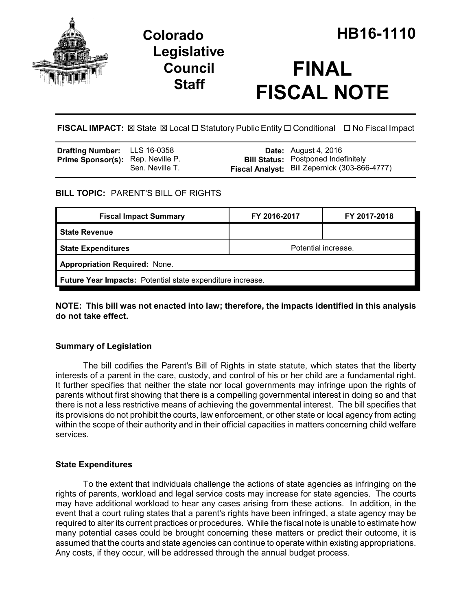

## **Legislative Council Staff**

# **FINAL FISCAL NOTE**

**FISCAL IMPACT:** ⊠ State ⊠ Local □ Statutory Public Entity □ Conditional □ No Fiscal Impact

| <b>Drafting Number:</b> LLS 16-0358      |                 | <b>Date:</b> August 4, 2016                   |
|------------------------------------------|-----------------|-----------------------------------------------|
| <b>Prime Sponsor(s):</b> Rep. Neville P. |                 | <b>Bill Status: Postponed Indefinitely</b>    |
|                                          | Sen. Neville T. | Fiscal Analyst: Bill Zepernick (303-866-4777) |

## **BILL TOPIC:** PARENT'S BILL OF RIGHTS

| <b>Fiscal Impact Summary</b>                               | FY 2016-2017        | FY 2017-2018 |  |  |  |
|------------------------------------------------------------|---------------------|--------------|--|--|--|
| <b>State Revenue</b>                                       |                     |              |  |  |  |
| <b>State Expenditures</b>                                  | Potential increase. |              |  |  |  |
| <b>Appropriation Required: None.</b>                       |                     |              |  |  |  |
| Future Year Impacts: Potential state expenditure increase. |                     |              |  |  |  |

**NOTE: This bill was not enacted into law; therefore, the impacts identified in this analysis do not take effect.**

## **Summary of Legislation**

The bill codifies the Parent's Bill of Rights in state statute, which states that the liberty interests of a parent in the care, custody, and control of his or her child are a fundamental right. It further specifies that neither the state nor local governments may infringe upon the rights of parents without first showing that there is a compelling governmental interest in doing so and that there is not a less restrictive means of achieving the governmental interest. The bill specifies that its provisions do not prohibit the courts, law enforcement, or other state or local agency from acting within the scope of their authority and in their official capacities in matters concerning child welfare services.

## **State Expenditures**

To the extent that individuals challenge the actions of state agencies as infringing on the rights of parents, workload and legal service costs may increase for state agencies. The courts may have additional workload to hear any cases arising from these actions. In addition, in the event that a court ruling states that a parent's rights have been infringed, a state agency may be required to alter its current practices or procedures. While the fiscal note is unable to estimate how many potential cases could be brought concerning these matters or predict their outcome, it is assumed that the courts and state agencies can continue to operate within existing appropriations. Any costs, if they occur, will be addressed through the annual budget process.